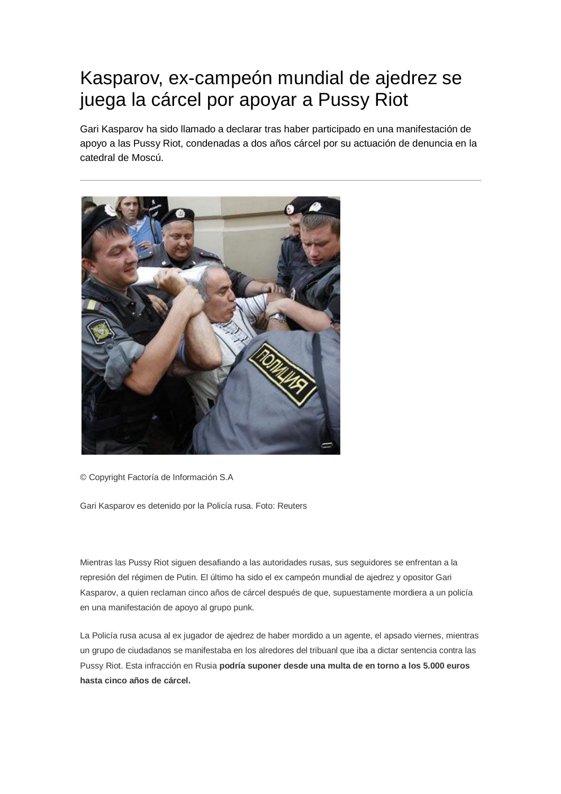## Kasparov, ex-campeón mundial de ajedrez se juega la cárcel por apoyar a Pussy Riot

Gari Kasparov ha sido llamado a declarar tras haber participado en una manifestación de apoyo a las Pussy Riot, condenadas a dos años cárcel por su actuación de denuncia en la catedral de Moscú.



© Copyright Factoría de Información S.A

Gari Kasparov es detenido por la Policía rusa. Foto: Reuters

Mientras las Pussy Riot siguen desafiando a las autoridades rusas, sus seguidores se enfrentan a la represión del régimen de Putin. El último ha sido el ex campeón mundial de ajedrez y opositor Gari Kasparov, a quien reclaman cinco años de cárcel después de que, supuestamente mordiera a un policía en una manifestación de apoyo al grupo punk.

La Policía rusa acusa al ex jugador de ajedrez de haber mordido a un agente, el apsado viernes, mientras un grupo de ciudadanos se manifestaba en los alredores del tribuanl que iba a dictar sentencia contra las Pussy Riot. Esta infracción en Rusia **podría suponer desde una multa de en torno a los 5.000 euros hasta cinco años de cárcel.**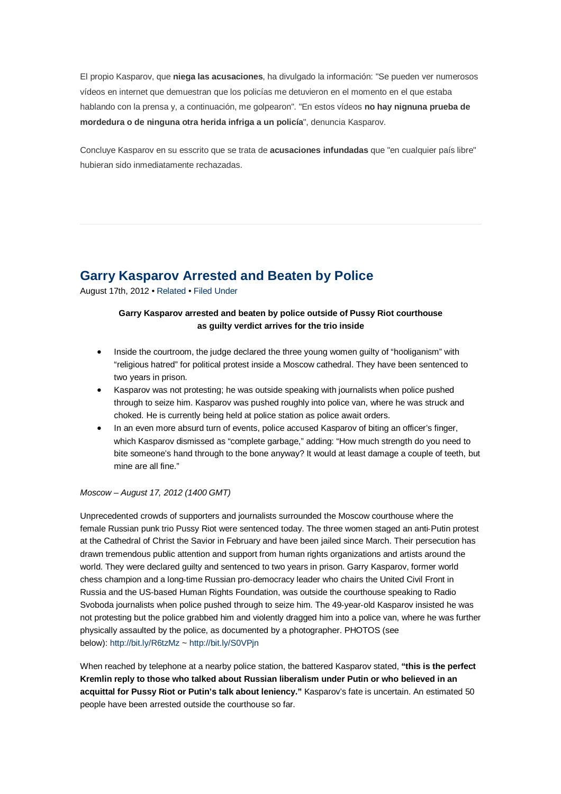El propio Kasparov, que **niega las acusaciones**, ha divulgado la información: "Se pueden ver numerosos vídeos en internet que demuestran que los policías me detuvieron en el momento en el que estaba hablando con la prensa y, a continuación, me golpearon". "En estos vídeos **no hay nignuna prueba de mordedura o de ninguna otra herida infriga a un policía**", denuncia Kasparov.

Concluye Kasparov en su esscrito que se trata de **acusaciones infundadas** que "en cualquier país libre" hubieran sido inmediatamente rechazadas.

## **Garry Kasparov Arrested and Beaten by Police**

August 17th, 2012 • Related • Filed Under

## **Garry Kasparov arrested and beaten by police outside of Pussy Riot courthouse as guilty verdict arrives for the trio inside**

- Inside the courtroom, the judge declared the three young women guilty of "hooliganism" with "religious hatred" for political protest inside a Moscow cathedral. They have been sentenced to two years in prison.
- Kasparov was not protesting; he was outside speaking with journalists when police pushed through to seize him. Kasparov was pushed roughly into police van, where he was struck and choked. He is currently being held at police station as police await orders.
- In an even more absurd turn of events, police accused Kasparov of biting an officer's finger, which Kasparov dismissed as "complete garbage," adding: "How much strength do you need to bite someone's hand through to the bone anyway? It would at least damage a couple of teeth, but mine are all fine."

## *Moscow – August 17, 2012 (1400 GMT)*

Unprecedented crowds of supporters and journalists surrounded the Moscow courthouse where the female Russian punk trio Pussy Riot were sentenced today. The three women staged an anti‐Putin protest at the Cathedral of Christ the Savior in February and have been jailed since March. Their persecution has drawn tremendous public attention and support from human rights organizations and artists around the world. They were declared guilty and sentenced to two years in prison. Garry Kasparov, former world chess champion and a long‐time Russian pro‐democracy leader who chairs the United Civil Front in Russia and the US‐based Human Rights Foundation, was outside the courthouse speaking to Radio Svoboda journalists when police pushed through to seize him. The 49-year-old Kasparov insisted he was not protesting but the police grabbed him and violently dragged him into a police van, where he was further physically assaulted by the police, as documented by a photographer. PHOTOS (see below): http://bit.ly/R6tzMz ~ http://bit.ly/S0VPjn

When reached by telephone at a nearby police station, the battered Kasparov stated, **"this is the perfect Kremlin reply to those who talked about Russian liberalism under Putin or who believed in an acquittal for Pussy Riot or Putin's talk about leniency."** Kasparov's fate is uncertain. An estimated 50 people have been arrested outside the courthouse so far.